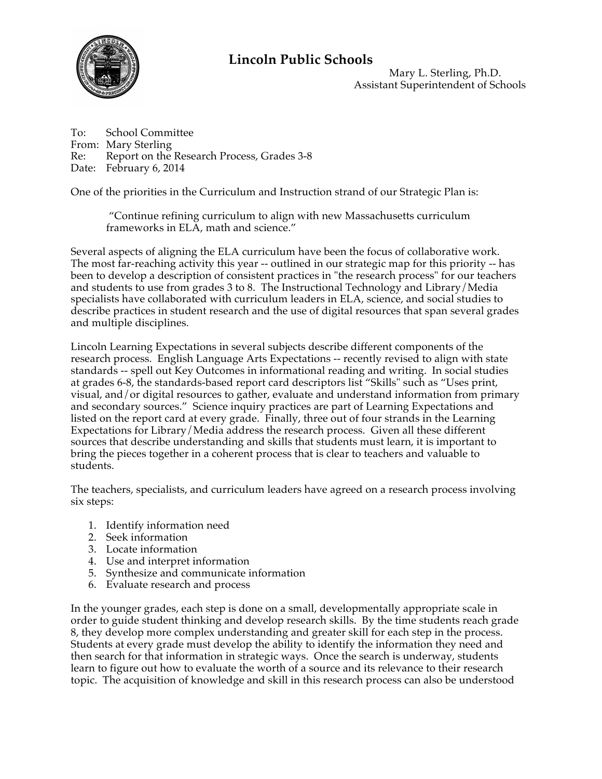

## **Lincoln Public Schools**

Mary L. Sterling, Ph.D. Assistant Superintendent of Schools

To: School Committee From: Mary Sterling Re: Report on the Research Process, Grades 3-8 Date: February 6, 2014

One of the priorities in the Curriculum and Instruction strand of our Strategic Plan is:

 "Continue refining curriculum to align with new Massachusetts curriculum frameworks in ELA, math and science."

Several aspects of aligning the ELA curriculum have been the focus of collaborative work. The most far-reaching activity this year -- outlined in our strategic map for this priority -- has been to develop a description of consistent practices in "the research process" for our teachers and students to use from grades 3 to 8. The Instructional Technology and Library/Media specialists have collaborated with curriculum leaders in ELA, science, and social studies to describe practices in student research and the use of digital resources that span several grades and multiple disciplines.

Lincoln Learning Expectations in several subjects describe different components of the research process. English Language Arts Expectations -- recently revised to align with state standards -- spell out Key Outcomes in informational reading and writing. In social studies at grades 6-8, the standards-based report card descriptors list "Skills" such as "Uses print, visual, and/or digital resources to gather, evaluate and understand information from primary and secondary sources." Science inquiry practices are part of Learning Expectations and listed on the report card at every grade. Finally, three out of four strands in the Learning Expectations for Library/Media address the research process. Given all these different sources that describe understanding and skills that students must learn, it is important to bring the pieces together in a coherent process that is clear to teachers and valuable to students.

The teachers, specialists, and curriculum leaders have agreed on a research process involving six steps:

- 1. Identify information need
- 2. Seek information
- 3. Locate information
- 4. Use and interpret information
- 5. Synthesize and communicate information
- 6. Evaluate research and process

In the younger grades, each step is done on a small, developmentally appropriate scale in order to guide student thinking and develop research skills. By the time students reach grade 8, they develop more complex understanding and greater skill for each step in the process. Students at every grade must develop the ability to identify the information they need and then search for that information in strategic ways. Once the search is underway, students learn to figure out how to evaluate the worth of a source and its relevance to their research topic. The acquisition of knowledge and skill in this research process can also be understood